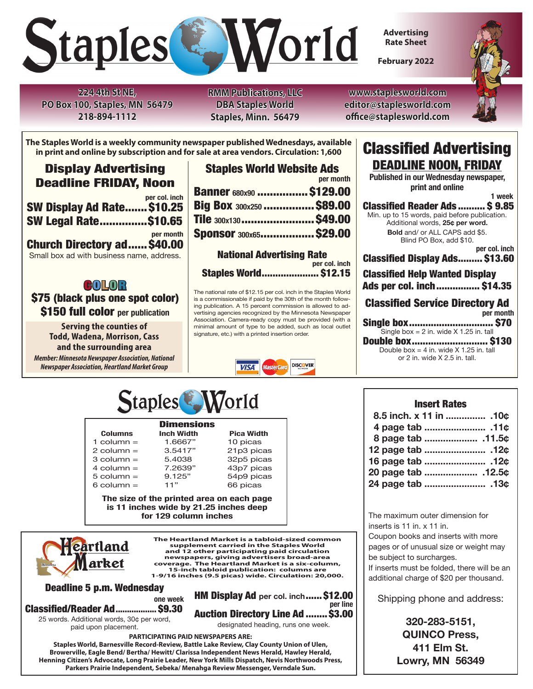

**Advertising Rate Sheet**

**February 2022**



**224 4th St NE, PO Box 100, Staples, MN 56479 218-894-1112**

**RMM Publications, LLC DBA Staples World Staples, Minn. 56479**

**www.staplesworld.com editor@staplesworld.com office@staplesworld.com**

**The Staples World is a weekly community newspaper published Wednesdays, available in print and online by subscription and for sale at area vendors. Circulation: 1,600**

# Display Advertising Deadline FRIDAY, Noon

|                             | per col. inch |
|-----------------------------|---------------|
| SW Display Ad Rate \$10.25  |               |
|                             |               |
| <b>SW Legal Rate\$10.65</b> |               |

**per month** Church Directory ad...... \$40.00 Small box ad with business name, address.

# **COLOR**

\$75 (black plus one spot color) \$150 full color **per publication**

**Serving the counties of Todd, Wadena, Morrison, Cass and the surrounding area** *Member: Minnesota Newspaper Association, National* 

*Newspaper Association, Heartland Market Group*

| <b>Staples World Website Ads</b> |           |
|----------------------------------|-----------|
|                                  | per month |
| <b>Banner 680x90  \$129.00</b>   |           |
| Big Box 300x250  \$89.00         |           |
| Tile 300x130  \$49.00            |           |
| <b>Sponsor 300x65 \$29.00</b>    |           |
|                                  |           |

National Advertising Rate **per col. inch** Staples World..................... \$12.15

The national rate of \$12.15 per col. inch in the Staples World is a commissionable if paid by the 30th of the month following publication. A 15 percent commission is allowed to advertising agencies recognized by the Minnesota Newspaper Association. Camera-ready copy must be provided (with a minimal amount of type to be added, such as local outlet signature, etc.) with a printed insertion order.



# Classified Advertising DEADLINE NOON, FRIDAY

**Published in our Wednesday newspaper, print and online**

 **1 week** Classified Reader Ads .......... \$ 9.85 Min. up to 15 words, paid before publication. Additional words, **25¢ per word. Bold** and/ or ALL CAPS add \$5. Blind PO Box, add \$10. **per col. inch** Classified Display Ads......... \$13.60 Classified Help Wanted Display Ads per col. inch................ \$14.35 . Classified Service Directory Ad **per month** Single box............................... \$70 Single box =  $2$  in. wide  $X$  1.25 in. tall

 Double box............................ \$130 Double box = 4 in. wide  $X$  1.25 in. tall or 2 in. wide X 2.5 in. tall.



 $1 \text{ column} = 1.6667"$ <br> $2 \text{ column} = 3.5417"$ 

 $5$  column  $=$ 

# **218-385-7720 or nymdispatch@arvig.net**

**Columns Inch Width Pica Width Pica Width Pica Width Pica Width Pica Width Pica Report All Pica Report Pica Report Pica Report Pica Report Pica Report Pica Report Pica Report Pica Report Pica Report Pica Report Pica Report**  $2 \text{ column} = 3.5417"$   $21p3 \text{ picas}$ <br> $3 \text{ column} = 5.4038$   $32p5 \text{ picas}$  3 column = 5.4038 32p5 picas 7.2639" 43p7 picas<br>9.125" 54p9 picas 9.125" 54p9 picas<br>11" 66 picas 5 column =  $\begin{array}{ccc} 9.125 \\ 2.125 \end{array}$  54p9 pic<br>
66 picas

The size of the printed area on each page<br>is 11 inches wide by 21.25 inches deep **is 11 inches wide by 21.25 inches deep for 129 column inches**



**The Heartland Market is a tabloid-sized common supplement carried in the Staples World and 12 other participating paid circulation newspapers, giving advertisers broad-area coverage. The Heartland Market is a six-column, 15-inch tabloid publication: columns are 1-9/16 inches (9.5 picas) wide. Circulation: 20,000.** 

Deadline 5 p.m. Wednesday

**one week** Classified/Reader Ad.................. \$9.30

25 words. Additional words, 30¢ per word, paid upon placement.

HM Display Ad **per col. inch**......\$12.00 **per line** Auction Directory Line Ad ........\$3.00

designated heading, runs one week.

**PARTICIPATING PAID NEWSPAPERS ARE:** 

**Staples World, Barnesville Record-Review, Battle Lake Review, Clay County Union of Ulen, Browerville, Eagle Bend/ Bertha/ Hewitt/ Clarissa Independent News Herald, Hawley Herald, Henning Citizen's Advocate, Long Prairie Leader, New York Mills Dispatch, Nevis Northwoods Press, Parkers Prairie Independent, Sebeka/ Menahga Review Messenger, Verndale Sun.**

### Insert Rates

| 8.5 inch. x 11 in  .10¢ |  |
|-------------------------|--|
|                         |  |
|                         |  |
|                         |  |
|                         |  |
| 20 page tab  .12.5¢     |  |
| 24 page tab  .13¢       |  |
|                         |  |

The maximum outer dimension for inserts is 11 in. x 11 in.

Coupon books and inserts with more pages or of unusual size or weight may

be subject to surcharges. If inserts must be folded, there will be an additional charge of \$20 per thousand.

Shipping phone and address:

**320-283-5151, QUINCO Press, 411 Elm St. Lowry, MN 56349**